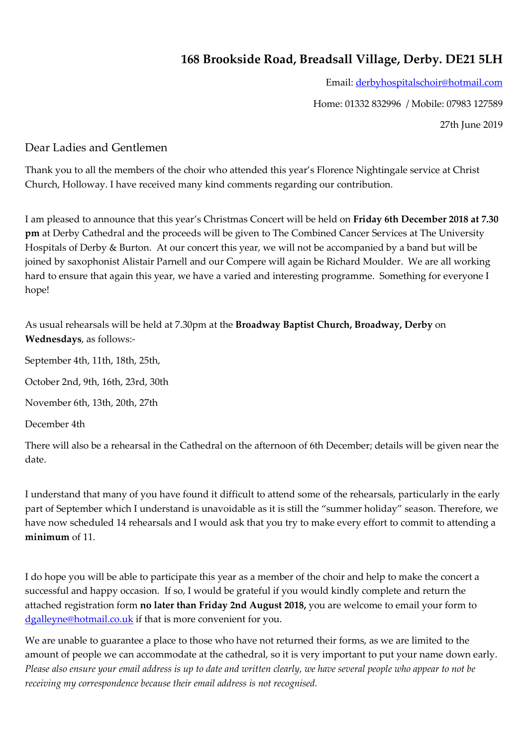## **168 Brookside Road, Breadsall Village, Derby. DE21 5LH**

Email: [derbyhospitalschoir@hotmail.com](mailto:derbyhospitalschoir@hotmail.com) 

Home: 01332 832996 / Mobile: 07983 127589

27th June 2019

## Dear Ladies and Gentlemen

Thank you to all the members of the choir who attended this year's Florence Nightingale service at Christ Church, Holloway. I have received many kind comments regarding our contribution.

I am pleased to announce that this year's Christmas Concert will be held on **Friday 6th December 2018 at 7.30 pm** at Derby Cathedral and the proceeds will be given to The Combined Cancer Services at The University Hospitals of Derby & Burton. At our concert this year, we will not be accompanied by a band but will be joined by saxophonist Alistair Parnell and our Compere will again be Richard Moulder. We are all working hard to ensure that again this year, we have a varied and interesting programme. Something for everyone I hope!

As usual rehearsals will be held at 7.30pm at the **Broadway Baptist Church, Broadway, Derby** on **Wednesdays**, as follows:-

September 4th, 11th, 18th, 25th,

October 2nd, 9th, 16th, 23rd, 30th

November 6th, 13th, 20th, 27th

December 4th

There will also be a rehearsal in the Cathedral on the afternoon of 6th December; details will be given near the date.

I understand that many of you have found it difficult to attend some of the rehearsals, particularly in the early part of September which I understand is unavoidable as it is still the "summer holiday" season. Therefore, we have now scheduled 14 rehearsals and I would ask that you try to make every effort to commit to attending a **minimum** of 11.

I do hope you will be able to participate this year as a member of the choir and help to make the concert a successful and happy occasion. If so, I would be grateful if you would kindly complete and return the attached registration form **no later than Friday 2nd August 2018,** you are welcome to email your form to [dgalleyne@hotmail.co.uk](mailto:dgalleyne@hotmail.co.uk) if that is more convenient for you.

We are unable to guarantee a place to those who have not returned their forms, as we are limited to the amount of people we can accommodate at the cathedral, so it is very important to put your name down early. Please also ensure your email address is up to date and written clearly, we have several people who appear to not be *receiving my correspondence because their email address is not recognised.*